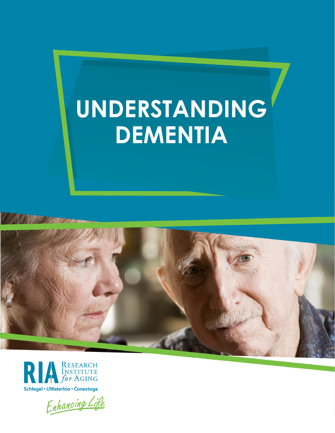# **UNDERSTANDING DEMENTIA**



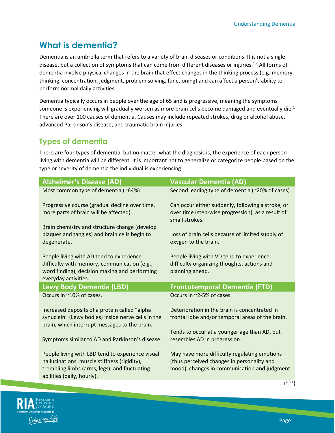# **What is dementia?**

Dementia is an umbrella term that refers to a variety of brain diseases or conditions. It is not a single disease, but a collection of symptoms that can come from different diseases or injuries.<sup>1,2</sup> All forms of dementia involve physical changes in the brain that effect changes in the thinking process (e.g. memory, thinking, concentration, judgment, problem solving, functioning) and can affect a person's ability to perform normal daily activities.

Dementia typically occurs in people over the age of 65 and is progressive, meaning the symptoms someone is experiencing will gradually worsen as more brain cells become damaged and eventually die.<sup>1</sup> There are over 100 causes of dementia. Causes may include repeated strokes, drug or alcohol abuse, advanced Parkinson's disease, and traumatic brain injuries.

### **Types of dementia**

There are four types of dementia, but no matter what the diagnosis is, the experience of each person living with dementia will be different. It is important not to generalize or categorize people based on the type or severity of dementia the individual is experiencing.

| <b>Alzheimer's Disease (AD)</b>                                                                                                                                                 | <b>Vascular Dementia (AD)</b>                                                                                                                          |
|---------------------------------------------------------------------------------------------------------------------------------------------------------------------------------|--------------------------------------------------------------------------------------------------------------------------------------------------------|
| Most common type of dementia (~64%).                                                                                                                                            | Second leading type of dementia (~20% of cases)                                                                                                        |
| Progressive course (gradual decline over time,<br>more parts of brain will be affected).                                                                                        | Can occur either suddenly, following a stroke, or<br>over time (step-wise progression), as a result of<br>small strokes.                               |
| Brain chemistry and structure change (develop                                                                                                                                   |                                                                                                                                                        |
| plaques and tangles) and brain cells begin to<br>degenerate.                                                                                                                    | Loss of brain cells because of limited supply of<br>oxygen to the brain.                                                                               |
| People living with AD tend to experience<br>difficulty with memory, communication (e.g.,<br>word finding), decision making and performing<br>everyday activities.               | People living with VD tend to experience<br>difficulty organizing thoughts, actions and<br>planning ahead.                                             |
|                                                                                                                                                                                 |                                                                                                                                                        |
| <b>Lewy Body Dementia (LBD)</b>                                                                                                                                                 | <b>Frontotemporal Dementia (FTD)</b>                                                                                                                   |
| Occurs in ~10% of cases.                                                                                                                                                        | Occurs in ~2-5% of cases.                                                                                                                              |
| Increased deposits of a protein called "alpha                                                                                                                                   | Deterioration in the brain is concentrated in                                                                                                          |
| synuclein" (Lewy bodies) inside nerve cells in the<br>brain, which interrupt messages to the brain.                                                                             | frontal lobe and/or temporal areas of the brain.                                                                                                       |
|                                                                                                                                                                                 | Tends to occur at a younger age than AD, but                                                                                                           |
| Symptoms similar to AD and Parkinson's disease.                                                                                                                                 | resembles AD in progression.                                                                                                                           |
| People living with LBD tend to experience visual<br>hallucinations, muscle stiffness (rigidity),<br>trembling limbs (arms, legs), and fluctuating<br>abilities (daily, hourly). | May have more difficulty regulating emotions<br>(thus perceived changes in personality and<br>mood), changes in communication and judgment.<br>(2,3,4) |

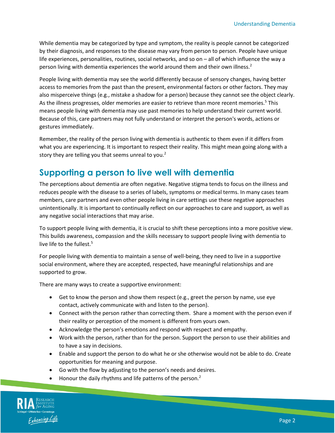While dementia may be categorized by type and symptom, the reality is people cannot be categorized by their diagnosis, and responses to the disease may vary from person to person. People have unique life experiences, personalities, routines, social networks, and so on – all of which influence the way a person living with dementia experiences the world around them and their own illness.<sup>2</sup>

People living with dementia may see the world differently because of sensory changes, having better access to memories from the past than the present, environmental factors or other factors. They may also misperceive things (e.g., mistake a shadow for a person) because they cannot see the object clearly. As the illness progresses, older memories are easier to retrieve than more recent memories.<sup>5</sup> This means people living with dementia may use past memories to help understand their current world. Because of this, care partners may not fully understand or interpret the person's words, actions or gestures immediately.

Remember, the reality of the person living with dementia is authentic to them even if it differs from what you are experiencing. It is important to respect their reality. This might mean going along with a story they are telling you that seems unreal to you.<sup>2</sup>

## **Supporting a person to live well with dementia**

The perceptions about dementia are often negative. Negative stigma tends to focus on the illness and reduces people with the disease to a series of labels, symptoms or medical terms. In many cases team members, care partners and even other people living in care settings use these negative approaches unintentionally. It is important to continually reflect on our approaches to care and support, as well as any negative social interactions that may arise.

To support people living with dementia, it is crucial to shift these perceptions into a more positive view. This builds awareness, compassion and the skills necessary to support people living with dementia to live life to the fullest.<sup>5</sup>

For people living with dementia to maintain a sense of well-being, they need to live in a supportive social environment, where they are accepted, respected, have meaningful relationships and are supported to grow.

There are many ways to create a supportive environment:

- Get to know the person and show them respect (e.g., greet the person by name, use eye contact, actively communicate with and listen to the person).
- Connect with the person rather than correcting them. Share a moment with the person even if their reality or perception of the moment is different from yours own.
- Acknowledge the person's emotions and respond with respect and empathy.
- Work with the person, rather than for the person. Support the person to use their abilities and to have a say in decisions.
- Enable and support the person to do what he or she otherwise would not be able to do. Create opportunities for meaning and purpose.
- Go with the flow by adjusting to the person's needs and desires.
- Honour the daily rhythms and life patterns of the person.<sup>2</sup>

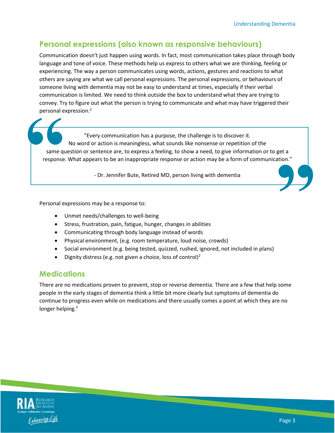#### **Personal expressions (also known as responsive behaviours)**

Communication doesn't just happen using words. In fact, most communication takes place through body language and tone of voice. These methods help us express to others what we are thinking, feeling or experiencing. The way a person communicates using words, actions, gestures and reactions to what others are saying are what we call personal expressions. The personal expressions, or behaviours of someone living with dementia may not be easy to understand at times, especially if their verbal communication is limited. We need to think outside the box to understand what they are trying to convey. Try to figure out what the person is trying to communicate and what may have triggered their personal expression.<sup>2</sup>

"Every communication has a purpose, the challenge is to discover it. No word or action is meaningless, what sounds like nonsense or repetition of the same question or sentence are, to express a feeling, to show a need, to give information or to get a response. What appears to be an inappropriate response or action may be a form of communication." personal ex **"**

- Dr. Jennifer Bute, Retired MD, person living with dementia

Personal expressions may be a response to:

- Unmet needs/challenges to well-being
- Stress, frustration, pain, fatigue, hunger, changes in abilities
- Communicating through body language instead of words
- Physical environment, (e.g. room temperature, loud noise, crowds)
- Social environment (e.g. being tested, quizzed, rushed, ignored, not included in plans)
- Dignity distress (e.g. not given a choice, loss of control)<sup>2</sup>

#### **Medications**

There are no medications proven to prevent, stop or reverse dementia. There are a few that help some people in the early stages of dementia think a little bit more clearly but symptoms of dementia do continue to progress even while on medications and there usually comes a point at which they are no longer helping.<sup>5</sup>